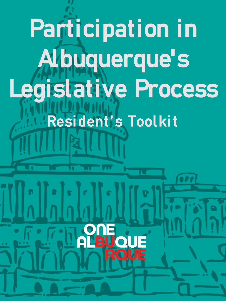# Participation in Albuquerque's Legislative Process Resident's ToolkitOUE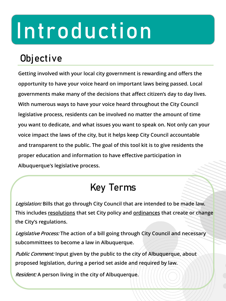## Introduction

## **Objective**

**Getting involved with your local city government is rewarding and offers the opportunity to have your voice heard on important laws being passed. Local governments make many of the decisions that affect citizen's day to day lives. With numerous ways to have your voice heard throughout the City Council legislative process, residents can be involved no matter the amount of time you want to dedicate, and what issues you want to speak on. Not only can your voice impact the laws of the city, but it helps keep City Council accountable and transparent to the public. The goal of this tool kit is to give residents the proper education and information to have effective participation in Albuquerque's legislative process.** 

## Key Terms

**Legislation: Bills that go through City Council that are intended to be made law. This includes resolutions that set City policy and ordinances that create or change the City's regulations.** 

**Legislative Process: The action of a bill going through City Council and necessary subcommittees to become a law in Albuquerque.** 

**Public Comment: Input given by the public to the city of Albuquerque, about proposed legislation, during a period set aside and required by law.**

**Resident: A person living in the city of Albuquerque.**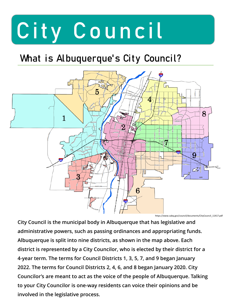# City Council

## What is Albuquerque's City Council?



**City Council is the municipal body in Albuquerque that has legislative and administrative powers, such as passing ordinances and appropriating funds. Albuquerque is split into nine districts, as shown in the map above. Each district is represented by a City Councilor, who is elected by their district for a 4-year term. The terms for Council Districts 1, 3, 5, 7, and 9 began January 2022. The terms for Council Districts 2, 4, 6, and 8 began January 2020. City Councilor's are meant to act as the voice of the people of Albuquerque. Talking to your City Councilor is one-way residents can voice their opinions and be involved in the legislative process.**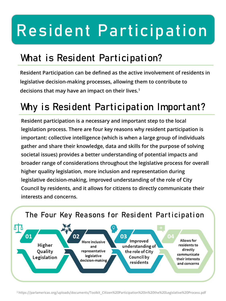## Resident Participation

## What is Resident Participation?

**Resident Participation can be defined as the active involvement of residents in legislative decision-making processes, allowing them to contribute to decisions that may have an impact on their lives.1**

## Why is Resident Participation Important?

**Resident participation is a necessary and important step to the local legislation process. There are four key reasons why resident participation is important: collective intelligence (which is when a large group of individuals gather and share their knowledge, data and skills for the purpose of solving societal issues) provides a better understanding of potential impacts and broader range of considerations throughout the legislative process for overall higher quality legislation, more inclusion and representation during legislative decision-making, improved understanding of the role of City Council by residents, and it allows for citizens to directly communicate their interests and concerns.**



1 https://parlamericas.org/uploads/documents/Toolkit\_Citizen%20Participation%20in%20the%20Legislative%20Process.pdf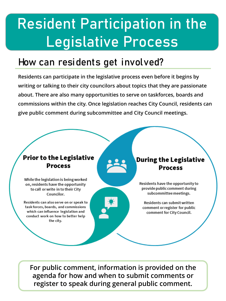## Resident Participation in the Legislative Process

#### How can residents get involved?

**Residents can participate in the legislative process even before it begins by writing or talking to their city councilors about topics that they are passionate about. There are also many opportunities to serve on taskforces, boards and commissions within the city. Once legislation reaches City Council, residents can give public comment during subcommittee and City Council meetings.**

#### **Prior to the Legislative Process**

While the legislation is being worked on, residents have the opportunity to call or write in to their City Councilor.

Residents can also serve on or speak to task forces, boards, and commissions which can influence legislation and conduct work on how to better help the city.

#### **During the Legislative Process**

Residents have the opportunity to provide public comment during subcommittee meetings.

Residents can submit written comment or register for public comment for City Council.

**For public comment, information is provided on the agenda for how and when to submit comments or register to speak during general public comment.**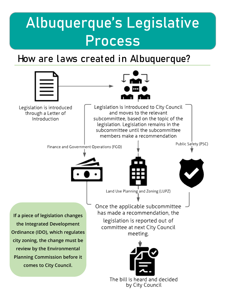## Albuquerque's Legislative Process

#### How are laws created in Albuquerque?